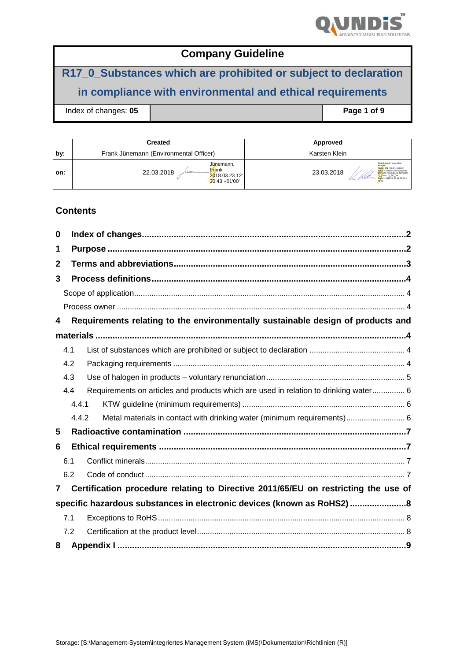

# **R17\_0\_Substances which are prohibited or subject to declaration**

# **in compliance with environmental and ethical requirements**

**Index of changes: 05 Page 1 of 9** 

|     | Created                                                                        | Approved                                                                                                                                                                                                 |
|-----|--------------------------------------------------------------------------------|----------------------------------------------------------------------------------------------------------------------------------------------------------------------------------------------------------|
| by: | Frank Jünemann (Environmental Officer)                                         | Karsten Klein                                                                                                                                                                                            |
| on: | Jünemann,<br>Frank<br>22.03.2018<br>weam<br>2018.03.23 12:<br>$30:43 + 01'00'$ | Digital signiert von: Klein.<br>Karsten<br>Name: CN - Klein, Karsten<br>email = Karsten.Klein@gundis.<br>23.03.2018<br>com/OU = Qundis. Q Benutzer.<br>Q_Erfurt, Q_EF_QM<br>Datum: 2018.03.23 12:33:50 + |

#### **Contents**

| 0            |       |                                                                                      |  |
|--------------|-------|--------------------------------------------------------------------------------------|--|
| 1            |       |                                                                                      |  |
| $\mathbf{2}$ |       |                                                                                      |  |
| 3            |       |                                                                                      |  |
|              |       |                                                                                      |  |
|              |       |                                                                                      |  |
| 4            |       | Requirements relating to the environmentally sustainable design of products and      |  |
|              |       |                                                                                      |  |
|              | 4.1   |                                                                                      |  |
|              | 4.2   |                                                                                      |  |
|              | 4.3   |                                                                                      |  |
|              | 4.4   | Requirements on articles and products which are used in relation to drinking water 6 |  |
|              | 4.4.1 |                                                                                      |  |
|              | 4.4.2 | Metal materials in contact with drinking water (minimum requirements) 6              |  |
| 5            |       |                                                                                      |  |
| 6            |       |                                                                                      |  |
|              | 6.1   |                                                                                      |  |
|              | 6.2   |                                                                                      |  |
| 7            |       | Certification procedure relating to Directive 2011/65/EU on restricting the use of   |  |
|              |       | specific hazardous substances in electronic devices (known as RoHS2)8                |  |
|              | 7.1   |                                                                                      |  |
|              | 7.2   |                                                                                      |  |
| 8            |       |                                                                                      |  |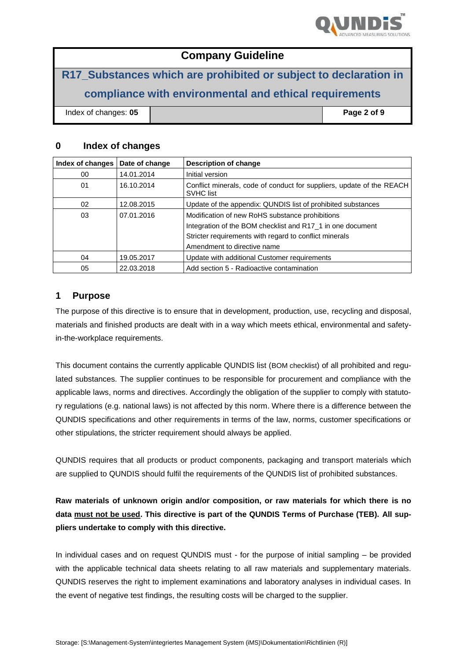

**R17\_Substances which are prohibited or subject to declaration in compliance with environmental and ethical requirements**

Index of changes: **05 Page 2 of 9**

#### **0 Index of changes**

| Index of changes | Date of change | Description of change                                                                     |  |
|------------------|----------------|-------------------------------------------------------------------------------------------|--|
| 00               | 14.01.2014     | Initial version                                                                           |  |
| 01               | 16.10.2014     | Conflict minerals, code of conduct for suppliers, update of the REACH<br><b>SVHC</b> list |  |
| 02               | 12.08.2015     | Update of the appendix: QUNDIS list of prohibited substances                              |  |
| 03               | 07.01.2016     | Modification of new RoHS substance prohibitions                                           |  |
|                  |                | Integration of the BOM checklist and R17_1 in one document                                |  |
|                  |                | Stricter requirements with regard to conflict minerals                                    |  |
|                  |                | Amendment to directive name                                                               |  |
| 04               | 19.05.2017     | Update with additional Customer requirements                                              |  |
| 05               | 22.03.2018     | Add section 5 - Radioactive contamination                                                 |  |

#### **1 Purpose**

The purpose of this directive is to ensure that in development, production, use, recycling and disposal, materials and finished products are dealt with in a way which meets ethical, environmental and safetyin-the-workplace requirements.

This document contains the currently applicable QUNDIS list (BOM checklist) of all prohibited and regulated substances. The supplier continues to be responsible for procurement and compliance with the applicable laws, norms and directives. Accordingly the obligation of the supplier to comply with statutory regulations (e.g. national laws) is not affected by this norm. Where there is a difference between the QUNDIS specifications and other requirements in terms of the law, norms, customer specifications or other stipulations, the stricter requirement should always be applied.

QUNDIS requires that all products or product components, packaging and transport materials which are supplied to QUNDIS should fulfil the requirements of the QUNDIS list of prohibited substances.

**Raw materials of unknown origin and/or composition, or raw materials for which there is no data must not be used. This directive is part of the QUNDIS Terms of Purchase (TEB). All suppliers undertake to comply with this directive.**

In individual cases and on request QUNDIS must - for the purpose of initial sampling – be provided with the applicable technical data sheets relating to all raw materials and supplementary materials. QUNDIS reserves the right to implement examinations and laboratory analyses in individual cases. In the event of negative test findings, the resulting costs will be charged to the supplier.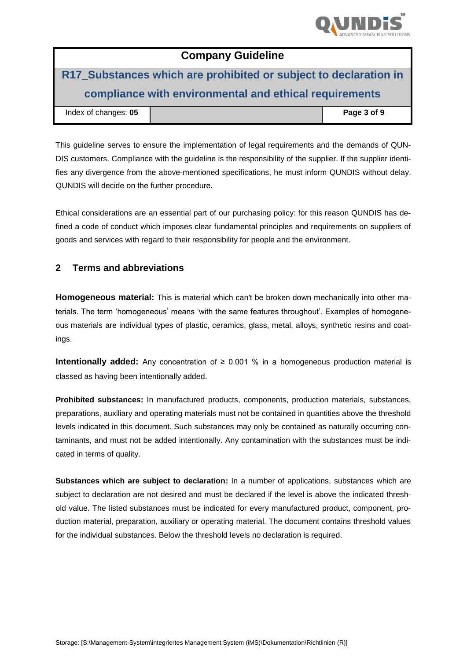

# **R17\_Substances which are prohibited or subject to declaration in compliance with environmental and ethical requirements**

| Index of changes: 05 | Page 3 of 9 |
|----------------------|-------------|
|                      |             |

This guideline serves to ensure the implementation of legal requirements and the demands of QUN-DIS customers. Compliance with the guideline is the responsibility of the supplier. If the supplier identifies any divergence from the above-mentioned specifications, he must inform QUNDIS without delay. QUNDIS will decide on the further procedure.

Ethical considerations are an essential part of our purchasing policy: for this reason QUNDIS has defined a code of conduct which imposes clear fundamental principles and requirements on suppliers of goods and services with regard to their responsibility for people and the environment.

### **2 Terms and abbreviations**

**Homogeneous material:** This is material which can't be broken down mechanically into other materials. The term 'homogeneous' means 'with the same features throughout'. Examples of homogeneous materials are individual types of plastic, ceramics, glass, metal, alloys, synthetic resins and coatings.

**Intentionally added:** Any concentration of ≥ 0.001 % in a homogeneous production material is classed as having been intentionally added.

**Prohibited substances:** In manufactured products, components, production materials, substances, preparations, auxiliary and operating materials must not be contained in quantities above the threshold levels indicated in this document. Such substances may only be contained as naturally occurring contaminants, and must not be added intentionally. Any contamination with the substances must be indicated in terms of quality.

**Substances which are subject to declaration:** In a number of applications, substances which are subject to declaration are not desired and must be declared if the level is above the indicated threshold value. The listed substances must be indicated for every manufactured product, component, production material, preparation, auxiliary or operating material. The document contains threshold values for the individual substances. Below the threshold levels no declaration is required.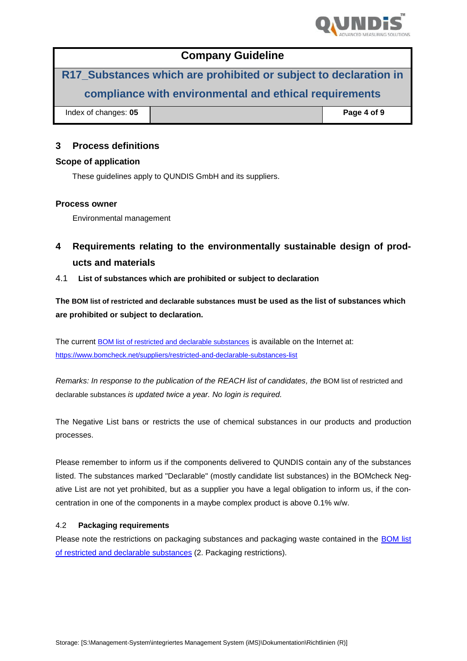

**R17\_Substances which are prohibited or subject to declaration in compliance with environmental and ethical requirements Index of changes: 05 Page 4 of 9** 

| 3 | <b>Process definitions</b> |  |
|---|----------------------------|--|

#### **Scope of application**

These guidelines apply to QUNDIS GmbH and its suppliers.

#### **Process owner**

Environmental management

- **4 Requirements relating to the environmentally sustainable design of products and materials**
- 4.1 **List of substances which are prohibited or subject to declaration**

**The BOM list of restricted and declarable substances must be used as the list of substances which are prohibited or subject to declaration.** 

The current [BOM list of restricted and declarable substances](https://www.bomcheck.net/assets/docs/Restricted%20and%20declarable%20substances%20list%20-%20June%202015.pdf) is available on the Internet at: <https://www.bomcheck.net/suppliers/restricted-and-declarable-substances-list>

*Remarks: In response to the publication of the REACH list of candidates, the* BOM list of restricted and declarable substances *is updated twice a year. No login is required.*

The Negative List bans or restricts the use of chemical substances in our products and production processes.

Please remember to inform us if the components delivered to QUNDIS contain any of the substances listed. The substances marked "Declarable" (mostly candidate list substances) in the BOMcheck Negative List are not yet prohibited, but as a supplier you have a legal obligation to inform us, if the concentration in one of the components in a maybe complex product is above 0.1% w/w.

#### 4.2 **Packaging requirements**

Please note the restrictions on packaging substances and packaging waste contained in the [BOM list](https://www.bomcheck.net/assets/docs/Restricted%20and%20declarable%20substances%20list%20-%20June%202015.pdf)  [of restricted and declarable substances](https://www.bomcheck.net/assets/docs/Restricted%20and%20declarable%20substances%20list%20-%20June%202015.pdf) (2. Packaging restrictions).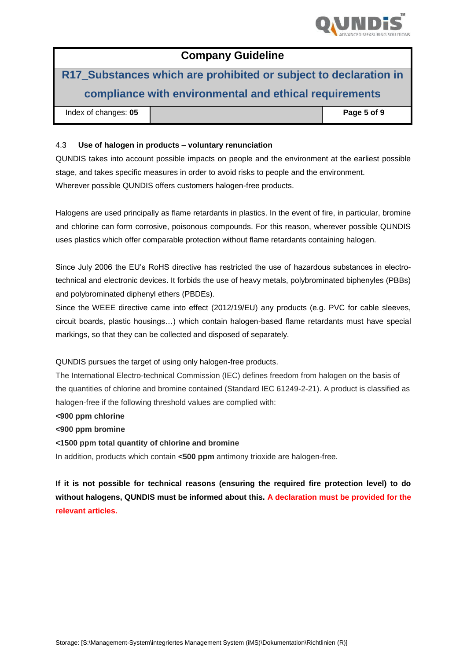

# **R17\_Substances which are prohibited or subject to declaration in compliance with environmental and ethical requirements**

| Index of changes: 05 |  | Page 5 of 9 |
|----------------------|--|-------------|
|----------------------|--|-------------|

#### 4.3 **Use of halogen in products – voluntary renunciation**

QUNDIS takes into account possible impacts on people and the environment at the earliest possible stage, and takes specific measures in order to avoid risks to people and the environment. Wherever possible QUNDIS offers customers halogen-free products.

Halogens are used principally as flame retardants in plastics. In the event of fire, in particular, bromine and chlorine can form corrosive, poisonous compounds. For this reason, wherever possible QUNDIS uses plastics which offer comparable protection without flame retardants containing halogen.

Since July 2006 the EU's RoHS directive has restricted the use of hazardous substances in electrotechnical and electronic devices. It forbids the use of heavy metals, polybrominated biphenyles (PBBs) and polybrominated diphenyl ethers (PBDEs).

Since the WEEE directive came into effect (2012/19/EU) any products (e.g. PVC for cable sleeves, circuit boards, plastic housings…) which contain halogen-based flame retardants must have special markings, so that they can be collected and disposed of separately.

QUNDIS pursues the target of using only halogen-free products.

The International Electro-technical Commission (IEC) defines freedom from halogen on the basis of the quantities of chlorine and bromine contained (Standard IEC 61249-2-21). A product is classified as halogen-free if the following threshold values are complied with:

**<900 ppm chlorine**

**<900 ppm bromine**

**<1500 ppm total quantity of chlorine and bromine**

In addition, products which contain **<500 ppm** antimony trioxide are halogen-free.

**If it is not possible for technical reasons (ensuring the required fire protection level) to do without halogens, QUNDIS must be informed about this. A declaration must be provided for the relevant articles.**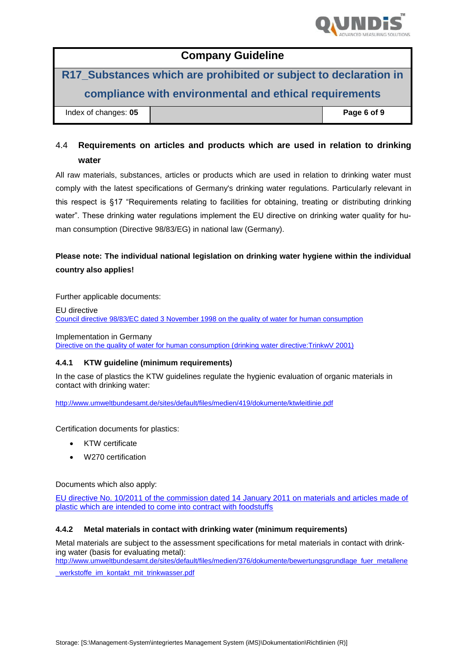

**R17\_Substances which are prohibited or subject to declaration in compliance with environmental and ethical requirements**

| Index of changes: 05 |  |
|----------------------|--|

 $Paqe 6 of 9$ 

## 4.4 **Requirements on articles and products which are used in relation to drinking water**

All raw materials, substances, articles or products which are used in relation to drinking water must comply with the latest specifications of Germany's drinking water regulations. Particularly relevant in this respect is §17 "Requirements relating to facilities for obtaining, treating or distributing drinking water". These drinking water regulations implement the EU directive on drinking water quality for human consumption (Directive 98/83/EG) in national law (Germany).

### **Please note: The individual national legislation on drinking water hygiene within the individual country also applies!**

Further applicable documents:

EU directive [Council directive 98/83/EC dated 3 November 1998 on the quality of water for human consumption](http://eur-lex.europa.eu/LexUriServ/LexUriServ.do?uri=OJ:L:1998:330:0032:0054:DE:PDF%20)

Implementation in Germany [Directive on the quality of water for human consumption \(drinking water directive:TrinkwV 2001\)](http://www.gesetze-im-internet.de/bundesrecht/trinkwv_2001/gesamt.pdf)

#### **4.4.1 KTW guideline (minimum requirements)**

In the case of plastics the KTW guidelines regulate the hygienic evaluation of organic materials in contact with drinking water:

<http://www.umweltbundesamt.de/sites/default/files/medien/419/dokumente/ktwleitlinie.pdf>

Certification documents for plastics:

- KTW certificate
- W270 certification

Documents which also apply:

[EU directive No. 10/2011 of the commission dated 14](http://eur-lex.europa.eu/LexUriServ/LexUriServ.do?uri=OJ:L:2011:012:0001:0089:DE:PDF) January 2011 on materials and articles made of [plastic which are intended to come into contract with foodstuffs](http://eur-lex.europa.eu/LexUriServ/LexUriServ.do?uri=OJ:L:2011:012:0001:0089:DE:PDF)

#### **4.4.2 Metal materials in contact with drinking water (minimum requirements)**

Metal materials are subject to the assessment specifications for metal materials in contact with drinking water (basis for evaluating metal):

[http://www.umweltbundesamt.de/sites/default/files/medien/376/dokumente/bewertungsgrundlage\\_fuer\\_metallene](http://www.umweltbundesamt.de/sites/default/files/medien/376/dokumente/bewertungsgrundlage_fuer_metallene_werkstoffe_im_kontakt_mit_trinkwasser.pdf)

werkstoffe\_im\_kontakt\_mit\_trinkwasser.pdf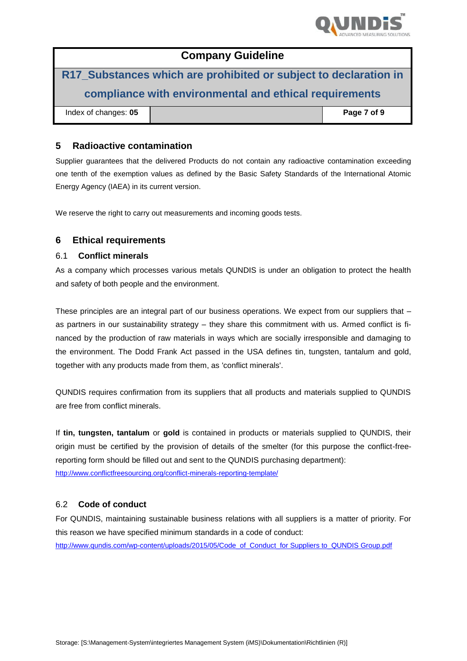

| <b>Company Guideline</b>                                         |  |             |  |
|------------------------------------------------------------------|--|-------------|--|
| R17_Substances which are prohibited or subject to declaration in |  |             |  |
| compliance with environmental and ethical requirements           |  |             |  |
| Index of changes: 05                                             |  | Page 7 of 9 |  |

#### **5 Radioactive contamination**

Supplier guarantees that the delivered Products do not contain any radioactive contamination exceeding one tenth of the exemption values as defined by the Basic Safety Standards of the International Atomic Energy Agency (IAEA) in its current version.

We reserve the right to carry out measurements and incoming goods tests.

#### **6 Ethical requirements**

#### 6.1 **Conflict minerals**

As a company which processes various metals QUNDIS is under an obligation to protect the health and safety of both people and the environment.

These principles are an integral part of our business operations. We expect from our suppliers that – as partners in our sustainability strategy – they share this commitment with us. Armed conflict is financed by the production of raw materials in ways which are socially irresponsible and damaging to the environment. The Dodd Frank Act passed in the USA defines tin, tungsten, tantalum and gold, together with any products made from them, as 'conflict minerals'.

QUNDIS requires confirmation from its suppliers that all products and materials supplied to QUNDIS are free from conflict minerals.

If **tin, tungsten, tantalum** or **gold** is contained in products or materials supplied to QUNDIS, their origin must be certified by the provision of details of the smelter (for this purpose the conflict-freereporting form should be filled out and sent to the QUNDIS purchasing department): <http://www.conflictfreesourcing.org/conflict-minerals-reporting-template/>

#### 6.2 **Code of conduct**

For QUNDIS, maintaining sustainable business relations with all suppliers is a matter of priority. For this reason we have specified minimum standards in a code of conduct: [http://www.qundis.com/wp-content/uploads/2015/05/Code\\_of\\_Conduct\\_for Suppliers to\\_QUNDIS Group.pdf](http://www.qundis.com/wp-content/uploads/2015/05/Code_of_Conduct_fuer_Lieferanten_der_QUNDIS-Gruppe.pdf)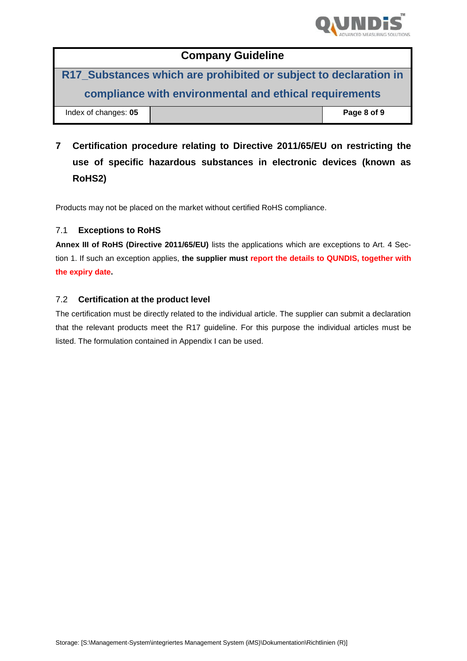

**R17\_Substances which are prohibited or subject to declaration in compliance with environmental and ethical requirements**

**Index of changes: 05 Page 8 of 9 Page 8 of 9** 

**7 Certification procedure relating to Directive 2011/65/EU on restricting the use of specific hazardous substances in electronic devices (known as RoHS2)**

Products may not be placed on the market without certified RoHS compliance.

#### 7.1 **Exceptions to RoHS**

**Annex III of RoHS (Directive 2011/65/EU)** lists the applications which are exceptions to Art. 4 Section 1. If such an exception applies, **the supplier must report the details to QUNDIS, together with the expiry date.**

#### 7.2 **Certification at the product level**

The certification must be directly related to the individual article. The supplier can submit a declaration that the relevant products meet the R17 guideline. For this purpose the individual articles must be listed. The formulation contained in Appendix I can be used.